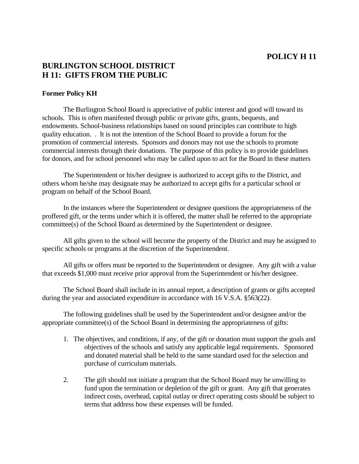## **POLICY H 11**

## **BURLINGTON SCHOOL DISTRICT H 11: GIFTS FROM THE PUBLIC**

## **Former Policy KH**

 The Burlington School Board is appreciative of public interest and good will toward its schools. This is often manifested through public or private gifts, grants, bequests, and endowments. School-business relationships based on sound principles can contribute to high quality education. . It is not the intention of the School Board to provide a forum for the promotion of commercial interests. Sponsors and donors may not use the schools to promote commercial interests through their donations. The purpose of this policy is to provide guidelines for donors, and for school personnel who may be called upon to act for the Board in these matters

 The Superintendent or his/her designee is authorized to accept gifts to the District, and others whom he/she may designate may be authorized to accept gifts for a particular school or program on behalf of the School Board.

 In the instances where the Superintendent or designee questions the appropriateness of the proffered gift, or the terms under which it is offered, the matter shall be referred to the appropriate committee(s) of the School Board as determined by the Superintendent or designee.

 All gifts given to the school will become the property of the District and may be assigned to specific schools or programs at the discretion of the Superintendent.

 All gifts or offers must be reported to the Superintendent or designee. Any gift with a value that exceeds \$1,000 must receive prior approval from the Superintendent or his/her designee.

 The School Board shall include in its annual report, a description of grants or gifts accepted during the year and associated expenditure in accordance with 16 V.S.A. §563(22).

 The following guidelines shall be used by the Superintendent and/or designee and/or the appropriate committee(s) of the School Board in determining the appropriateness of gifts:

- 1. The objectives, and conditions, if any, of the gift or donation must support the goals and objectives of the schools and satisfy any applicable legal requirements. Sponsored and donated material shall be held to the same standard used for the selection and purchase of curriculum materials.
- 2. The gift should not initiate a program that the School Board may be unwilling to fund upon the termination or depletion of the gift or grant. Any gift that generates indirect costs, overhead, capital outlay or direct operating costs should be subject to terms that address how these expenses will be funded.